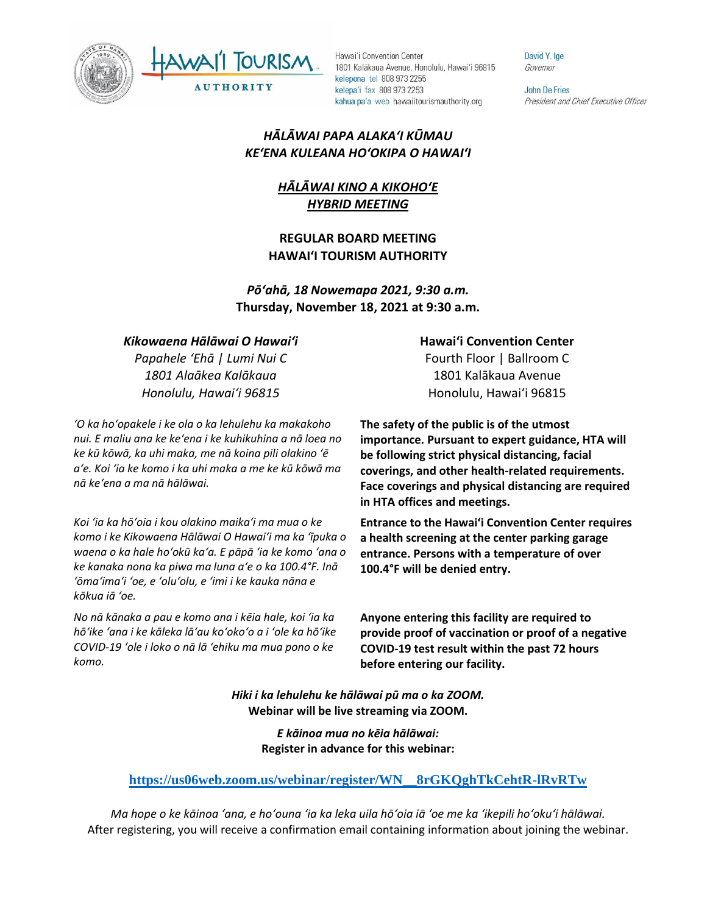



David Y. Ige Governor

**John De Fries** President and Chief Executive Officer

## *HĀLĀWAI PAPA ALAKAʻI KŪMAU KEʻENA KULEANA HOʻOKIPA O HAWAIʻI*

# *HĀLĀWAI KINO A KIKOHOʻE HYBRID MEETING*

## **REGULAR BOARD MEETING HAWAI'I TOURISM AUTHORITY**

*Pōʻahā, 18 Nowemapa 2021, 9:30 a.m.* **Thursday, November 18, 2021 at 9:30 a.m.**

### *Kikowaena Hālāwai O Hawaiʻi*

*Papahele ʻEhā | Lumi Nui C 1801 Alaākea Kalākaua Honolulu, Hawaiʻi 96815*

*ʻO ka hoʻopakele i ke ola o ka lehulehu ka makakoho nui. E maliu ana ke keʻena i ke kuhikuhina a nā loea no ke kū kōwā, ka uhi maka, me nā koina pili olakino ʻē aʻe. Koi ʻia ke komo i ka uhi maka a me ke kū kōwā ma nā keʻena a ma nā hālāwai.*

*Koi ʻia ka hōʻoia i kou olakino maikaʻi ma mua o ke komo i ke Kikowaena Hālāwai O Hawaiʻi ma ka ʻīpuka o waena o ka hale hoʻokū kaʻa. E pāpā ʻia ke komo ʻana o ke kanaka nona ka piwa ma luna aʻe o ka 100.4°F. Inā ʻōmaʻimaʻi ʻoe, e ʻoluʻolu, e ʻimi i ke kauka nāna e kōkua iā ʻoe.* 

*No nā kānaka a pau e komo ana i kēia hale, koi ʻia ka hōʻike ʻana i ke kāleka lāʻau koʻokoʻo a i ʻole ka hōʻike COVID-19 ʻole i loko o nā lā ʻehiku ma mua pono o ke komo.*

#### **Hawaiʻi Convention Center**

Fourth Floor | Ballroom C 1801 Kalākaua Avenue Honolulu, Hawaiʻi 96815

**The safety of the public is of the utmost importance. Pursuant to expert guidance, HTA will be following strict physical distancing, facial coverings, and other health-related requirements. Face coverings and physical distancing are required in HTA offices and meetings.** 

**Entrance to the Hawaiʻi Convention Center requires a health screening at the center parking garage entrance. Persons with a temperature of over 100.4°F will be denied entry.** 

**Anyone entering this facility are required to provide proof of vaccination or proof of a negative COVID-19 test result within the past 72 hours before entering our facility.**

*Hiki i ka lehulehu ke hālāwai pū ma o ka ZOOM.* **Webinar will be live streaming via ZOOM.**

> *E kāinoa mua no kēia hālāwai:* **Register in advance for this webinar:**

## **[https://us06web.zoom.us/webinar/register/WN\\_\\_8rGKQghTkCehtR-lRvRTw](https://us06web.zoom.us/webinar/register/WN__8rGKQghTkCehtR-lRvRTw)**

*Ma hope o ke kāinoa ʻana, e hoʻouna ʻia ka leka uila hōʻoia iā ʻoe me ka ʻikepili hoʻokuʻi hālāwai.* After registering, you will receive a confirmation email containing information about joining the webinar.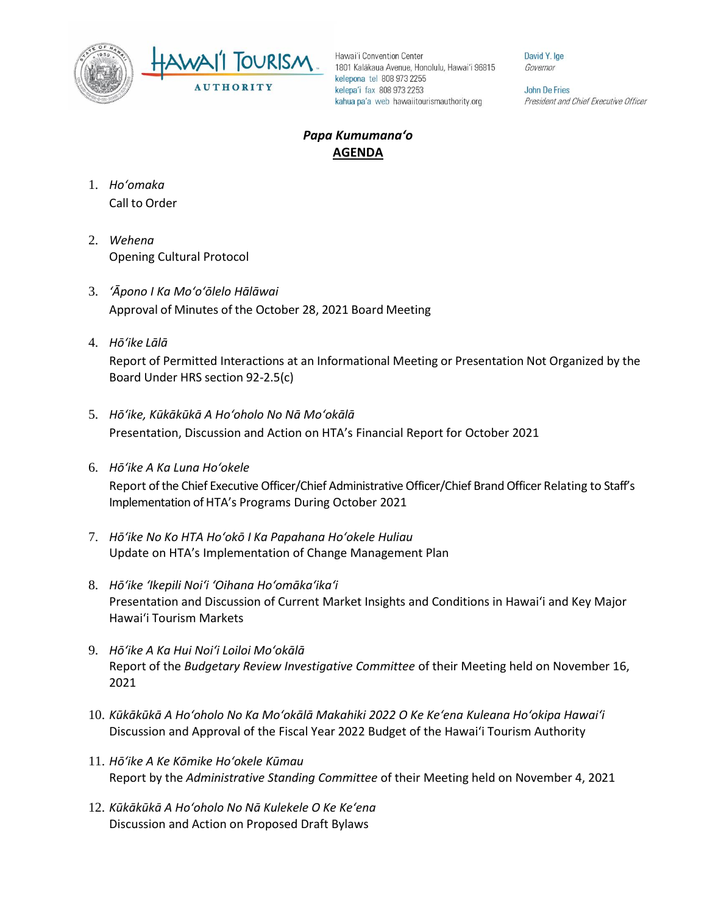



David Y. Ige Governor

**John De Fries** President and Chief Executive Officer

## *Papa Kumumanaʻo* **AGENDA**

- 1. *Ho'omaka* Call to Order
- 2. *Wehena* Opening Cultural Protocol
- 3. *ʻĀpono I Ka Moʻoʻōlelo Hālāwai* Approval of Minutes of the October 28, 2021 Board Meeting
- 4. *Hō'ike Lālā*

Report of Permitted Interactions at an Informational Meeting or Presentation Not Organized by the Board Under HRS section 92-2.5(c)

- 5. *Hōʻike, Kūkākūkā A Hoʻoholo No Nā Moʻokālā*  Presentation, Discussion and Action on HTA's Financial Report for October 2021
- 6. *Hōʻike A Ka Luna Hoʻokele* Report of the Chief Executive Officer/Chief Administrative Officer/Chief Brand Officer Relating to Staff's Implementation of HTA's Programs During October 2021
- 7. *Hōʻike No Ko HTA Hoʻokō I Ka Papahana Hoʻokele Huliau* Update on HTA's Implementation of Change Management Plan
- 8. *Hōʻike ʻIkepili Noiʻi ʻOihana Hoʻomākaʻikaʻi* Presentation and Discussion of Current Market Insights and Conditions in Hawai'i and Key Major Hawai'i Tourism Markets
- 9. *Hōʻike A Ka Hui Noiʻi Loiloi Moʻokālā* Report of the *Budgetary Review Investigative Committee* of their Meeting held on November 16, 2021
- 10. *Kūkākūkā A Hoʻoholo No Ka Moʻokālā Makahiki 2022 O Ke Keʻena Kuleana Hoʻokipa Hawaiʻi* Discussion and Approval of the Fiscal Year 2022 Budget of the Hawai'i Tourism Authority
- 11. *Hōʻike A Ke Kōmike Hoʻokele Kūmau* Report by the *Administrative Standing Committee* of their Meeting held on November 4, 2021
- 12. *Kūkākūkā A Hoʻoholo No Nā Kulekele O Ke Keʻena* Discussion and Action on Proposed Draft Bylaws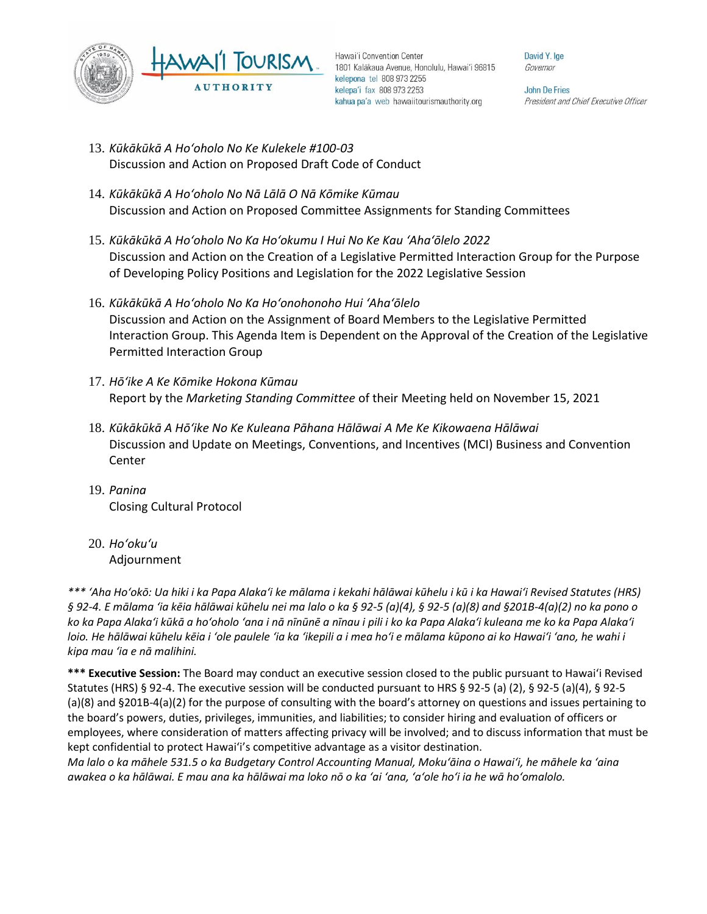

David Y. Ige Governor

John De Fries President and Chief Executive Officer

- 13. *Kūkākūkā A Hoʻoholo No Ke Kulekele #100-03* Discussion and Action on Proposed Draft Code of Conduct
- 14. *Kūkākūkā A Hoʻoholo No Nā Lālā O Nā Kōmike Kūmau* Discussion and Action on Proposed Committee Assignments for Standing Committees
- 15. *Kūkākūkā A Hoʻoholo No Ka Hoʻokumu I Hui No Ke Kau ʻAhaʻōlelo 2022* Discussion and Action on the Creation of a Legislative Permitted Interaction Group for the Purpose of Developing Policy Positions and Legislation for the 2022 Legislative Session
- 16. *Kūkākūkā A Hoʻoholo No Ka Hoʻonohonoho Hui ʻAhaʻōlelo* Discussion and Action on the Assignment of Board Members to the Legislative Permitted Interaction Group. This Agenda Item is Dependent on the Approval of the Creation of the Legislative Permitted Interaction Group
- 17. *Hōʻike A Ke Kōmike Hokona Kūmau* Report by the *Marketing Standing Committee* of their Meeting held on November 15, 2021
- 18. *Kūkākūkā A Hōʻike No Ke Kuleana Pāhana Hālāwai A Me Ke Kikowaena Hālāwai* Discussion and Update on Meetings, Conventions, and Incentives (MCI) Business and Convention Center
- 19. *Panina* Closing Cultural Protocol
- 20. *Ho'oku'u* Adjournment

*\*\*\* ʻAha Hoʻokō: Ua hiki i ka Papa Alakaʻi ke mālama i kekahi hālāwai kūhelu i kū i ka Hawaiʻi Revised Statutes (HRS) § 92-4. E mālama ʻia kēia hālāwai kūhelu nei ma lalo o ka § 92-5 (a)(4), § 92-5 (a)(8) and §201B-4(a)(2) no ka pono o ko ka Papa Alakaʻi kūkā a hoʻoholo ʻana i nā nīnūnē a nīnau i pili i ko ka Papa Alakaʻi kuleana me ko ka Papa Alakaʻi loio. He hālāwai kūhelu kēia i ʻole paulele ʻia ka ʻikepili a i mea hoʻi e mālama kūpono ai ko Hawaiʻi ʻano, he wahi i kipa mau ʻia e nā malihini.*

**\*\*\* Executive Session:** The Board may conduct an executive session closed to the public pursuant to Hawai'i Revised Statutes (HRS) § 92-4. The executive session will be conducted pursuant to HRS § 92-5 (a) (2), § 92-5 (a)(4), § 92-5 (a)(8) and §201B-4(a)(2) for the purpose of consulting with the board's attorney on questions and issues pertaining to the board's powers, duties, privileges, immunities, and liabilities; to consider hiring and evaluation of officers or employees, where consideration of matters affecting privacy will be involved; and to discuss information that must be kept confidential to protect Hawai'i's competitive advantage as a visitor destination.

*Ma lalo o ka māhele 531.5 o ka Budgetary Control Accounting Manual, Mokuʻāina o Hawaiʻi, he māhele ka ʻaina awakea o ka hālāwai. E mau ana ka hālāwai ma loko nō o ka ʻai ʻana, ʻaʻole hoʻi ia he wā hoʻomalolo.*